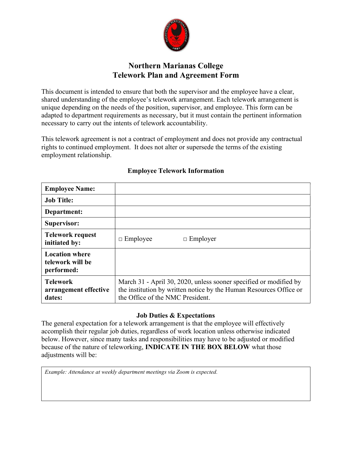

# Northern Marianas College Telework Plan and Agreement Form

This document is intended to ensure that both the supervisor and the employee have a clear, shared understanding of the employee's telework arrangement. Each telework arrangement is unique depending on the needs of the position, supervisor, and employee. This form can be adapted to department requirements as necessary, but it must contain the pertinent information necessary to carry out the intents of telework accountability.

This telework agreement is not a contract of employment and does not provide any contractual rights to continued employment. It does not alter or supersede the terms of the existing employment relationship.

| <b>Employee Name:</b>                                   |                                                                                                                                                                             |  |
|---------------------------------------------------------|-----------------------------------------------------------------------------------------------------------------------------------------------------------------------------|--|
| <b>Job Title:</b>                                       |                                                                                                                                                                             |  |
| Department:                                             |                                                                                                                                                                             |  |
| Supervisor:                                             |                                                                                                                                                                             |  |
| <b>Telework request</b><br>initiated by:                | $\Box$ Employee<br>$\Box$ Employer                                                                                                                                          |  |
| <b>Location where</b><br>telework will be<br>performed: |                                                                                                                                                                             |  |
| <b>Telework</b><br>arrangement effective<br>dates:      | March 31 - April 30, 2020, unless sooner specified or modified by<br>the institution by written notice by the Human Resources Office or<br>the Office of the NMC President. |  |

# Employee Telework Information

## Job Duties & Expectations

The general expectation for a telework arrangement is that the employee will effectively accomplish their regular job duties, regardless of work location unless otherwise indicated below. However, since many tasks and responsibilities may have to be adjusted or modified because of the nature of teleworking, INDICATE IN THE BOX BELOW what those adjustments will be:

Example: Attendance at weekly department meetings via Zoom is expected.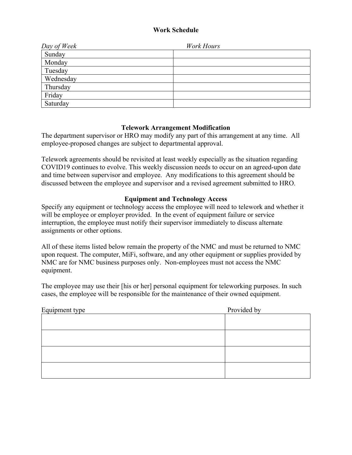## Work Schedule

| Day of Week | <b>Work Hours</b> |
|-------------|-------------------|
| Sunday      |                   |
| Monday      |                   |
| Tuesday     |                   |
| Wednesday   |                   |
| Thursday    |                   |
| Friday      |                   |
| Saturday    |                   |

# Telework Arrangement Modification

The department supervisor or HRO may modify any part of this arrangement at any time. All employee-proposed changes are subject to departmental approval.

Telework agreements should be revisited at least weekly especially as the situation regarding COVID19 continues to evolve. This weekly discussion needs to occur on an agreed-upon date and time between supervisor and employee. Any modifications to this agreement should be discussed between the employee and supervisor and a revised agreement submitted to HRO.

## Equipment and Technology Access

Specify any equipment or technology access the employee will need to telework and whether it will be employee or employer provided. In the event of equipment failure or service interruption, the employee must notify their supervisor immediately to discuss alternate assignments or other options.

All of these items listed below remain the property of the NMC and must be returned to NMC upon request. The computer, MiFi, software, and any other equipment or supplies provided by NMC are for NMC business purposes only. Non-employees must not access the NMC equipment.

The employee may use their [his or her] personal equipment for teleworking purposes. In such cases, the employee will be responsible for the maintenance of their owned equipment.

| Equipment type | Provided by |
|----------------|-------------|
|                |             |
|                |             |
|                |             |
|                |             |
|                |             |
|                |             |
|                |             |
|                |             |